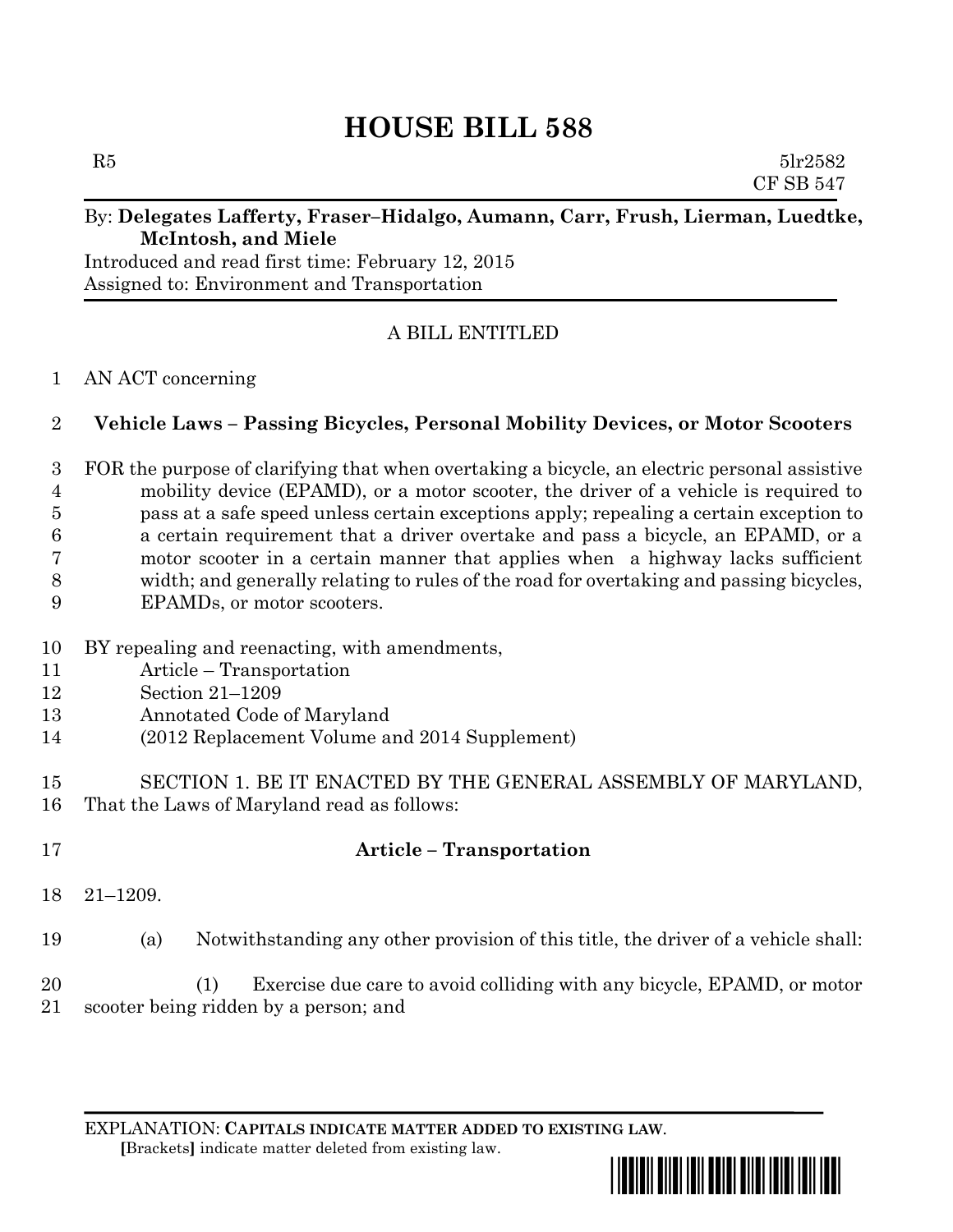# **HOUSE BILL 588**

 $R5$  5lr2582 CF SB 547

#### By: **Delegates Lafferty, Fraser–Hidalgo, Aumann, Carr, Frush, Lierman, Luedtke, McIntosh, and Miele**

Introduced and read first time: February 12, 2015 Assigned to: Environment and Transportation

## A BILL ENTITLED

#### AN ACT concerning

### **Vehicle Laws – Passing Bicycles, Personal Mobility Devices, or Motor Scooters**

 FOR the purpose of clarifying that when overtaking a bicycle, an electric personal assistive mobility device (EPAMD), or a motor scooter, the driver of a vehicle is required to pass at a safe speed unless certain exceptions apply; repealing a certain exception to a certain requirement that a driver overtake and pass a bicycle, an EPAMD, or a motor scooter in a certain manner that applies when a highway lacks sufficient width; and generally relating to rules of the road for overtaking and passing bicycles, EPAMDs, or motor scooters.

- BY repealing and reenacting, with amendments,
- Article Transportation
- Section 21–1209
- Annotated Code of Maryland
- (2012 Replacement Volume and 2014 Supplement)
- SECTION 1. BE IT ENACTED BY THE GENERAL ASSEMBLY OF MARYLAND, That the Laws of Maryland read as follows:
- 

# **Article – Transportation**

- 21–1209.
- (a) Notwithstanding any other provision of this title, the driver of a vehicle shall:

 (1) Exercise due care to avoid colliding with any bicycle, EPAMD, or motor scooter being ridden by a person; and

EXPLANATION: **CAPITALS INDICATE MATTER ADDED TO EXISTING LAW**.  **[**Brackets**]** indicate matter deleted from existing law.